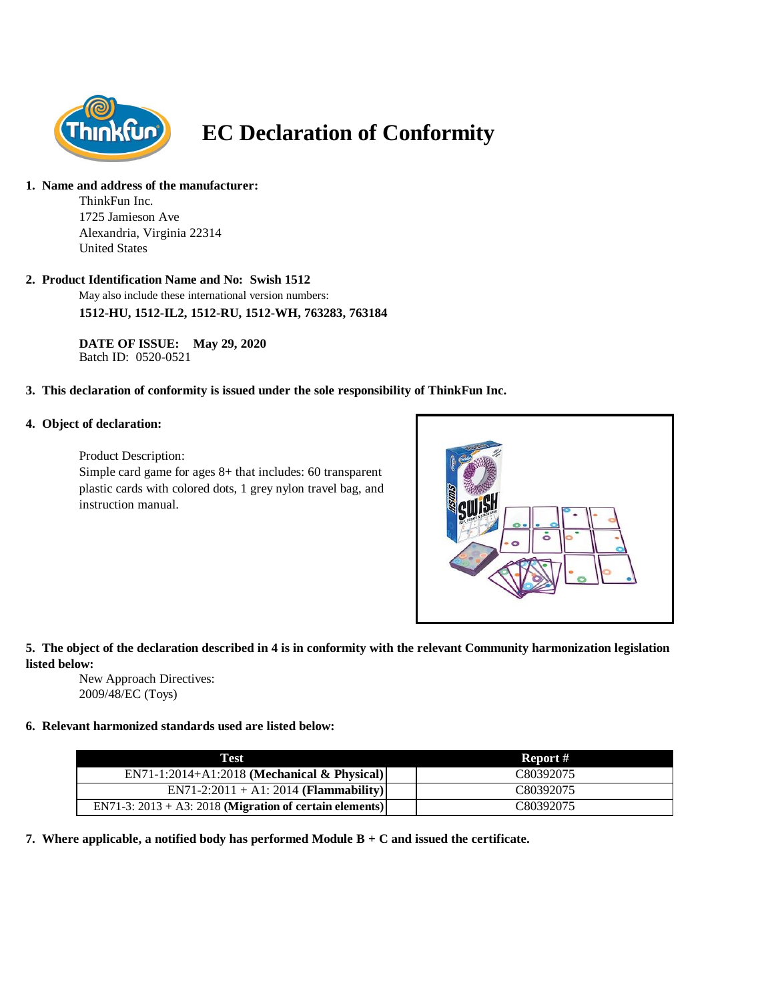

# **EC Declaration of Conformity**

#### **1. Name and address of the manufacturer:**

ThinkFun Inc. 1725 Jamieson Ave Alexandria, Virginia 22314 United States

# **2. Product Identification Name and No: Swish 1512**

May also include these international version numbers: **1512-HU, 1512-IL2, 1512-RU, 1512-WH, 763283, 763184**

**DATE OF ISSUE: May 29, 2020** Batch ID: 0520-0521

# **3. This declaration of conformity is issued under the sole responsibility of ThinkFun Inc.**

#### **4. Object of declaration:**

Product Description:

Simple card game for ages 8+ that includes: 60 transparent plastic cards with colored dots, 1 grey nylon travel bag, and instruction manual.



# **5. The object of the declaration described in 4 is in conformity with the relevant Community harmonization legislation listed below:**

New Approach Directives: 2009/48/EC (Toys)

# **6. Relevant harmonized standards used are listed below:**

| Test                                                       | Report #  |
|------------------------------------------------------------|-----------|
| $EN71-1:2014+A1:2018$ (Mechanical & Physical)              | C80392075 |
| $EN71-2:2011 + A1:2014 (Flammablity)$                      | C80392075 |
| EN71-3: $2013 + A3$ : 2018 (Migration of certain elements) | C80392075 |

**7. Where applicable, a notified body has performed Module B + C and issued the certificate.**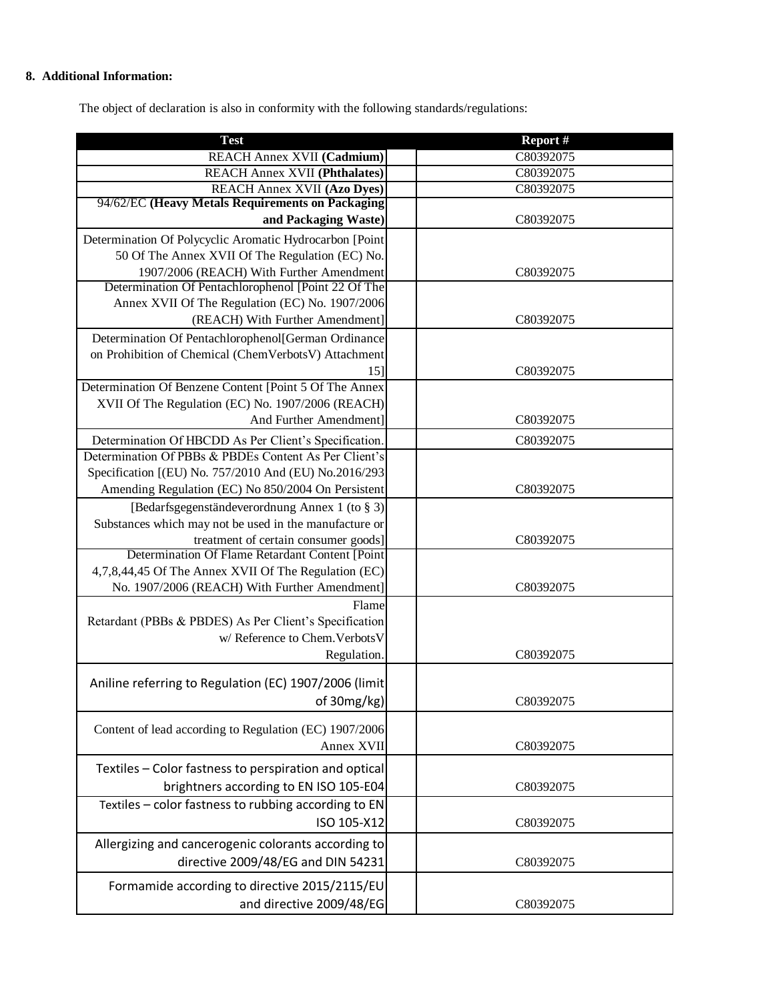# **8. Additional Information:**

The object of declaration is also in conformity with the following standards/regulations:

| <b>Test</b>                                                                                                 | Report #  |
|-------------------------------------------------------------------------------------------------------------|-----------|
| REACH Annex XVII (Cadmium)                                                                                  | C80392075 |
| <b>REACH Annex XVII (Phthalates)</b>                                                                        | C80392075 |
| <b>REACH Annex XVII (Azo Dyes)</b>                                                                          | C80392075 |
| 94/62/EC (Heavy Metals Requirements on Packaging                                                            |           |
| and Packaging Waste)                                                                                        | C80392075 |
| Determination Of Polycyclic Aromatic Hydrocarbon [Point                                                     |           |
| 50 Of The Annex XVII Of The Regulation (EC) No.                                                             |           |
| 1907/2006 (REACH) With Further Amendment                                                                    | C80392075 |
| Determination Of Pentachlorophenol [Point 22 Of The<br>Annex XVII Of The Regulation (EC) No. 1907/2006      |           |
| (REACH) With Further Amendment]                                                                             | C80392075 |
|                                                                                                             |           |
| Determination Of Pentachlorophenol[German Ordinance<br>on Prohibition of Chemical (ChemVerbotsV) Attachment |           |
| 15]                                                                                                         | C80392075 |
| Determination Of Benzene Content [Point 5 Of The Annex                                                      |           |
| XVII Of The Regulation (EC) No. 1907/2006 (REACH)                                                           |           |
| And Further Amendment]                                                                                      | C80392075 |
| Determination Of HBCDD As Per Client's Specification.                                                       | C80392075 |
| Determination Of PBBs & PBDEs Content As Per Client's                                                       |           |
| Specification [(EU) No. 757/2010 And (EU) No.2016/293                                                       |           |
| Amending Regulation (EC) No 850/2004 On Persistent                                                          | C80392075 |
| [Bedarfsgegenständeverordnung Annex 1 (to § 3)]                                                             |           |
| Substances which may not be used in the manufacture or                                                      |           |
| treatment of certain consumer goods]                                                                        | C80392075 |
| Determination Of Flame Retardant Content [Point                                                             |           |
| 4,7,8,44,45 Of The Annex XVII Of The Regulation (EC)                                                        |           |
| No. 1907/2006 (REACH) With Further Amendment]                                                               | C80392075 |
| Flame                                                                                                       |           |
| Retardant (PBBs & PBDES) As Per Client's Specification                                                      |           |
| w/ Reference to Chem. Verbots V                                                                             |           |
| Regulation.                                                                                                 | C80392075 |
| Aniline referring to Regulation (EC) 1907/2006 (limit                                                       |           |
| of 30mg/kg)                                                                                                 | C80392075 |
|                                                                                                             |           |
| Content of lead according to Regulation (EC) 1907/2006                                                      |           |
| Annex XVII                                                                                                  | C80392075 |
| Textiles - Color fastness to perspiration and optical                                                       |           |
| brightners according to EN ISO 105-E04                                                                      | C80392075 |
| Textiles - color fastness to rubbing according to EN                                                        |           |
| ISO 105-X12                                                                                                 | C80392075 |
| Allergizing and cancerogenic colorants according to                                                         |           |
| directive 2009/48/EG and DIN 54231                                                                          |           |
|                                                                                                             | C80392075 |
| Formamide according to directive 2015/2115/EU                                                               |           |
| and directive 2009/48/EG                                                                                    | C80392075 |